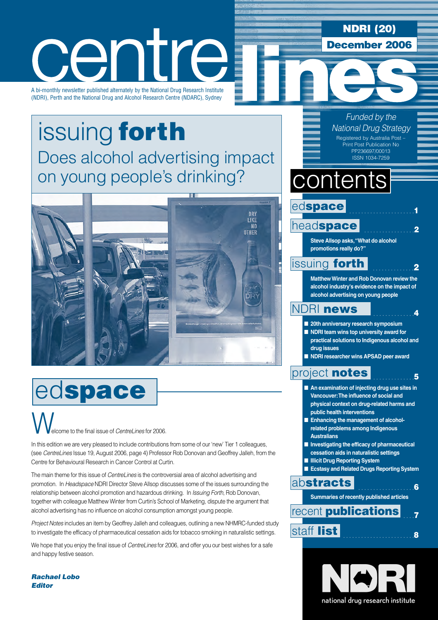# ΓK  $\blacksquare$

A bi-monthly newsletter published alternately by the National Drug Research Institute (NDRI), Perth and the National Drug and Alcohol Research Centre (NDARC), Sydney

## [issuing](#page-1-0) forth Does alcohol advertising impact on young people's drinking?



# edspace

elcome to the final issue of CentreLines for 2006 W.

In this edition we are very pleased to include contributions from some of our 'new' Tier 1 colleagues, (see CentreLines Issue 19, August 2006, page 4) Professor Rob Donovan and Geoffrey Jalleh, from the Centre for Behavioural Research in Cancer Control at Curtin.

The main theme for this issue of *CentreLines* is the controversial area of alcohol advertising and promotion. In Headspace NDRI Director Steve Allsop discusses some of the issues surrounding the relationship between alcohol promotion and hazardous drinking. In Issuing Forth, Rob Donovan, together with colleague Matthew Winter from Curtin's School of Marketing, dispute the argument that alcohol advertising has no influence on alcohol consumption amongst young people.

Project Notes includes an item by Geoffrey Jalleh and colleagues, outlining a new NHMRC-funded study to investigate the efficacy of pharmaceutical cessation aids for tobacco smoking in naturalistic settings.

We hope that you enjoy the final issue of *CentreLines* for 2006, and offer you our best wishes for a safe and happy festive season.

Rachael Lobo **Editor** 

#### Funded by the National Drug Strategy Registered by Australia Post – Print Post Publication No PP236697/00013 ISSN 1034-7259

NDRI (20)

December 2006

. . . . . . . . . . . . . . . . . . . . . .1

. . . . . . . . . . . . . .2

. . . . . . . . . . . . . .4

 $.5\,$ 

# contents

. . . . . . . . . . . . . . . . .2 head[space](#page-1-0)

edspace

**Steve Allsop asks,"What do alcohol promotions really do?"**

### **[issuing](#page-1-0) forth**

**MatthewWinter and Rob Donovan review the alcohol industry's evidence on the impact of alcohol advertising on young people**

### NDRI [news](#page-3-0)

- **20th anniversary research symposium**
- **NDRI team wins top university award for practical solutions to Indigenous alcohol and drug issues**
- **NDRI researcher wins APSAD peer award**

### [project](#page-4-0) notes

- **An examination of injecting drug use sites in Vancouver:The influence of social and physical context on drug-related harms and public health interventions**
- **Enhancing the management of alcoholrelated problems among Indigenous Australians**
- **Investigating the efficacy of pharmaceutical**
- **cessation aids in naturalistic settings**
- **Illicit Drug Reporting System**
- **Ecstasy and Related Drugs Reporting System**

ab[stracts](#page-5-0)

**Summaries of recently published articles**

. . . . . . . . . . . . . . . . . . .6

### $\overline{7}$ staf . . . . . . . . . . . . . . . . . . . . . . . .<sup>8</sup> f [list](#page-7-0) recent **[publications](#page-6-0)**

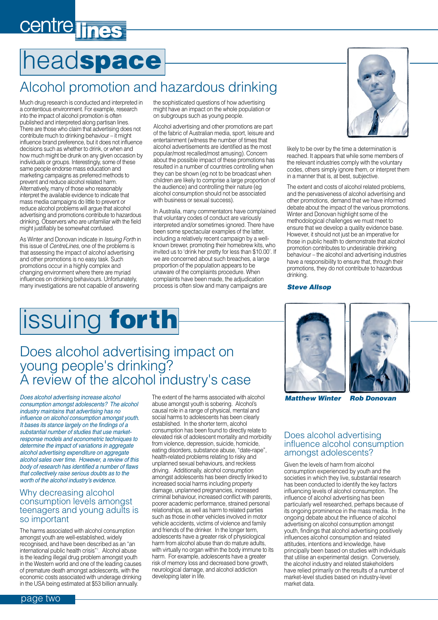# <span id="page-1-0"></span>centre lines

# headspace

## Alcohol promotion and hazardous drinking

Much drug research is conducted and interpreted in a contentious environment. For example, research into the impact of alcohol promotion is often published and interpreted along partisan lines. There are those who claim that advertising does not contribute much to drinking behaviour – it might influence brand preference, but it does not influence decisions such as whether to drink, or when and how much might be drunk on any given occasion by individuals or groups. Interestingly, some of these same people endorse mass education and marketing campaigns as preferred methods to prevent and reduce alcohol related harm. Alternatively, many of those who reasonably interpret the available evidence to indicate that mass media campaigns do little to prevent or reduce alcohol problems will argue that alcohol advertising and promotions contribute to hazardous drinking. Observers who are unfamiliar with the field might justifiably be somewhat confused.

As Winter and Donovan indicate in *Issuing Forth* in this issue of CentreLines, one of the problems is that assessing the impact of alcohol advertising and other promotions is no easy task. Such promotions occur in a highly complex and changing environment where there are myriad influences on drinking behaviours. Unfortunately, many investigations are not capable of answering

the sophisticated questions of how advertising might have an impact on the whole population or on subgroups such as young people.

Alcohol advertising and other promotions are part of the fabric of Australian media, sport, leisure and entertainment (witness the number of times that alcohol advertisements are identified as the most popular/most recalled/most amusing). Concern about the possible impact of these promotions has resulted in a number of countries controlling when they can be shown (eg not to be broadcast when children are likely to comprise a large proportion of the audience) and controlling their nature (eg alcohol consumption should not be associated with business or sexual success).

In Australia, many commentators have complained that voluntary codes of conduct are variously interpreted and/or sometimes ignored. There have been some spectacular examples of the latter, including a relatively recent campaign by a wellknown brewer, promoting their homebrew kits, who invited us to 'drink her pretty for less than \$10.00'. If we are concerned about such breaches, a large proportion of the population appears to be unaware of the complaints procedure. When complaints have been made, the adjudication process is often slow and many campaigns are



likely to be over by the time a determination is reached. It appears that while some members of the relevant industries comply with the voluntary codes, others simply ignore them, or interpret them in a manner that is, at best, subjective.

The extent and costs of alcohol related problems, and the pervasiveness of alcohol advertising and other promotions, demand that we have informed debate about the impact of the various promotions. Winter and Donovan highlight some of the methodological challenges we must meet to ensure that we develop a quality evidence base. However, it should not just be an imperative for those in public health to demonstrate that alcohol promotion contributes to undesirable drinking behaviour – the alcohol and advertising industries have a responsibility to ensure that, through their promotions, they do not contribute to hazardous drinking.

#### Steve Allsop

# issuing forth

### Does alcohol advertising impact on young people's drinking? A review of the alcohol industry's case

*Does alcohol advertising increase alcohol consumption amongst adolescents? The alcohol industry maintains that advertising has no influence on alcohol consumption amongst youth. It bases its stance largely on the findings of a substantial number of studies that use marketresponse models and econometric techniques to determine the impact of variations in aggregate alcohol advertising expenditure on aggregate alcohol sales over time. However, a review of this body of research has identified a number of flaws that collectively raise serious doubts as to the worth of the alcohol industry's evidence.*

#### Why decreasing alcohol consumption levels amongst teenagers and young adults is so important

The harms associated with alcohol consumption amongst youth are well-established, widely recognised, and have been described as an "an international public health crisis"1 . Alcohol abuse is the leading illegal drug problem amongst youth in the Western world and one of the leading causes of premature death amongst adolescents, with the economic costs associated with underage drinking in the USA being estimated at \$53 billion annually.

The extent of the harms associated with alcohol abuse amongst youth is sobering. Alcohol's causal role in a range of physical, mental and social harms to adolescents has been clearly established. In the shorter term, alcohol consumption has been found to directly relate to elevated risk of adolescent mortality and morbidity from violence, depression, suicide, homicide, eating disorders, substance abuse, "date-rape", health-related problems relating to risky and unplanned sexual behaviours, and reckless driving. Additionally, alcohol consumption amongst adolescents has been directly linked to increased social harms including property damage, unplanned pregnancies, increased criminal behaviour, increased conflict with parents, poorer academic performance, strained personal relationships, as well as harm to related parties such as those in other vehicles involved in motor vehicle accidents, victims of violence and family and friends of the drinker. In the longer term, adolescents have a greater risk of physiological harm from alcohol abuse than do mature adults, with virtually no organ within the body immune to its harm. For example, adolescents have a greater risk of memory loss and decreased bone growth, neurological damage, and alcohol addiction developing later in life.





Matthew Winter Rob Donovan

#### Does alcohol advertising influence alcohol consumption amongst adolescents?

Given the levels of harm from alcohol consumption experienced by youth and the societies in which they live, substantial research has been conducted to identify the key factors influencing levels of alcohol consumption. The influence of alcohol advertising has been particularly well researched, perhaps because of its ongoing prominence in the mass media. In the ongoing debate about the influence of alcohol advertising on alcohol consumption amongst youth, findings that alcohol advertising positively influences alcohol consumption and related attitudes, intentions and knowledge, have principally been based on studies with individuals that utilise an experimental design. Conversely, the alcohol industry and related stakeholders have relied primarily on the results of a number of market-level studies based on industry-level market data.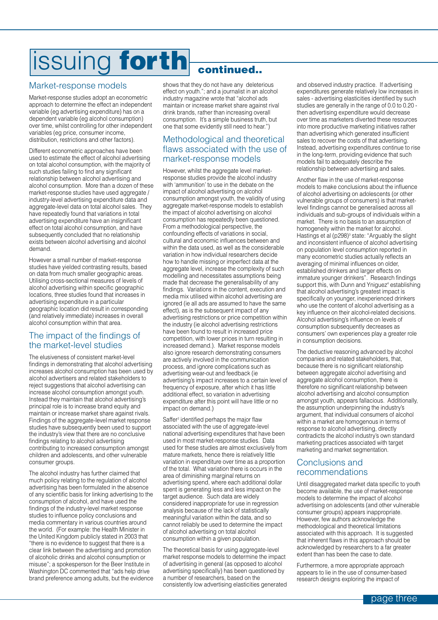# issuing forth continued..

### Market-response models

Market-response studies adopt an econometric approach to determine the effect an independent variable (eg advertising expenditure) has on a dependent variable (eg alcohol consumption) over time, whilst controlling for other independent variables (eg price, consumer income, distribution, restrictions and other factors).

Different econometric approaches have been used to estimate the effect of alcohol advertising on total alcohol consumption, with the majority of such studies failing to find any significant relationship between alcohol advertising and alcohol consumption. More than a dozen of these market-response studies have used aggregate / industry-level advertising expenditure data and aggregate-level data on total alcohol sales. They have repeatedly found that variations in total advertising expenditure have an insignificant effect on total alcohol consumption, and have subsequently concluded that no relationship exists between alcohol advertising and alcohol demand.

However a small number of market-response studies have yielded contrasting results, based on data from much smaller geographic areas. Utilising cross-sectional measures of levels of alcohol advertising within specific geographic locations, three studies found that increases in advertising expenditure in a particular geographic location did result in corresponding (and relatively immediate) increases in overall alcohol consumption within that area.

#### The impact of the findings of the market-level studies

The elusiveness of consistent market-level findings in demonstrating that alcohol advertising increases alcohol consumption has been used by alcohol advertisers and related stakeholders to reject suggestions that alcohol advertising can increase alcohol consumption amongst youth. Instead they maintain that alcohol advertising's principal role is to increase brand equity and maintain or increase market share against rivals. Findings of the aggregate-level market response studies have subsequently been used to support the industry's view that there are no conclusive findings relating to alcohol advertising contributing to increased consumption amongst children and adolescents, and other vulnerable consumer groups.

The alcohol industry has further claimed that much policy relating to the regulation of alcohol advertising has been formulated in the absence of any scientific basis for linking advertising to the consumption of alcohol, and have used the findings of the industry-level market response studies to influence policy conclusions and media commentary in various countries around the world. (For example: the Health Minister in the United Kingdom publicly stated in 2003 that "there is no evidence to suggest that there is a clear link between the advertising and promotion of alcoholic drinks and alcohol consumption or misuse"; a spokesperson for the Beer Institute in Washington DC commented that "ads help drive brand preference among adults, but the evidence

shows that they do not have any deleterious effect on youth."; and a journalist in an alcohol industry magazine wrote that "alcohol ads maintain or increase market share against rival drink brands, rather than increasing overall consumption. It's a simple business truth, but one that some evidently still need to hear.")

### Methodological and theoretical flaws associated with the use of market-response models

However, whilst the aggregate level marketresponse studies provide the alcohol industry with 'ammunition' to use in the debate on the impact of alcohol advertising on alcohol consumption amongst youth, the validity of using aggregate market-response models to establish the impact of alcohol advertising on alcohol consumption has repeatedly been questioned. From a methodological perspective, the confounding effects of variations in social, cultural and economic influences between and within the data used, as well as the considerable variation in how individual researchers decide how to handle missing or imperfect data at the aggregate level, increase the complexity of such modelling and necessitates assumptions being made that decrease the generalisability of any findings. Variations in the content, execution and media mix utilised within alcohol advertising are ignored (ie all ads are assumed to have the same effect), as is the subsequent impact of any advertising restrictions or price competition within the industry (ie alcohol advertising restrictions have been found to result in increased price competition, with lower prices in turn resulting in increased demand.). Market response models also ignore research demonstrating consumers are actively involved in the communication process, and ignore complications such as advertising wear-out and feedback (ie advertising's impact increases to a certain level of frequency of exposure, after which it has little additional effect, so variation in advertising expenditure after this point will have little or no impact on demand.)

Saffer<sup>2</sup> identified perhaps the major flaw associated with the use of aggregate-level national advertising expenditures that have been used in most market-response studies. Data used for these studies are almost exclusively from mature markets, hence there is relatively little variation in expenditure over time as a proportion of the total. What variation there is occurs in the area of diminishing marginal returns on advertising spend, where each additional dollar spent is generating less and less impact on the target audience. Such data are widely considered inappropriate for use in regression analysis because of the lack of statistically meaningful variation within the data, and so cannot reliably be used to determine the impact of alcohol advertising on total alcohol consumption within a given population.

The theoretical basis for using aggregate-level market response models to determine the impact of advertising in general (as opposed to alcohol advertising specifically) has been questioned by a number of researchers, based on the consistently low advertising elasticities generated and observed industry practice. If advertising expenditures generate relatively low increases in sales - advertising elasticities identified by such studies are generally in the range of 0.0 to 0.20 then advertising expenditure would decrease over time as marketers diverted these resources into more productive marketing initiatives rather than advertising which generated insufficient sales to recover the costs of that advertising. Instead, advertising expenditures continue to rise in the long-term, providing evidence that such models fail to adequately describe the relationship between advertising and sales.

Another flaw in the use of market-response models to make conclusions about the influence of alcohol advertising on adolescents (or other vulnerable groups of consumers) is that marketlevel findings cannot be generalised across all individuals and sub-groups of individuals within a market. There is no basis to an assumption of homogeneity within the market for alcohol. Hastings et al (p298)<sup>3</sup> state: "Arguably the slight and inconsistent influence of alcohol advertising on population level consumption reported in many econometric studies actually reflects an averaging of minimal influences on older, established drinkers and larger effects on immature younger drinkers". Research findings support this, with Dunn and Yniguez<sup>4</sup> establishing that alcohol advertising's greatest impact is specifically on younger, inexperienced drinkers who use the content of alcohol advertising as a key influence on their alcohol-related decisions. Alcohol advertising's influence on levels of consumption subsequently decreases as consumers' own experiences play a greater role in consumption decisions.

The deductive reasoning advanced by alcohol companies and related stakeholders, that, because there is no significant relationship between aggregate alcohol advertising and aggregate alcohol consumption, there is therefore no significant relationship between alcohol advertising and alcohol consumption amongst youth, appears fallacious. Additionally, the assumption underpinning the industry's argument, that individual consumers of alcohol within a market are homogenous in terms of response to alcohol advertising, directly contradicts the alcohol industry's own standard marketing practices associated with target marketing and market segmentation.

### Conclusions and recommendations

Until disaggregated market data specific to youth become available, the use of market-response models to determine the impact of alcohol advertising on adolescents (and other vulnerable consumer groups) appears inappropriate. However, few authors acknowledge the methodological and theoretical limitations associated with this approach. It is suggested that inherent flaws in this approach should be acknowledged by researchers to a far greater extent than has been the case to date.

Furthermore, a more appropriate approach appears to lie in the use of consumer-based research designs exploring the impact of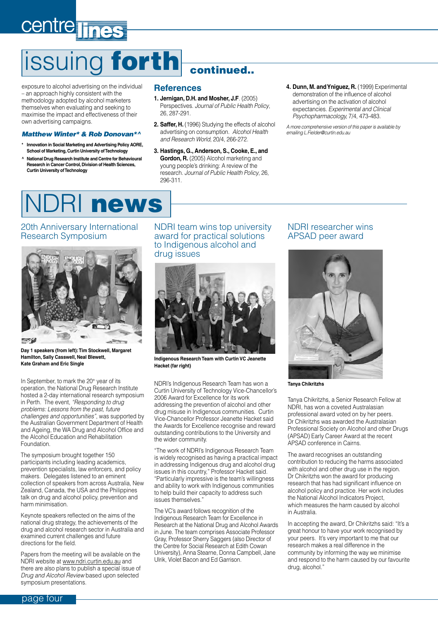# <span id="page-3-0"></span>centre lines

# issuing forth continued...

exposure to alcohol advertising on the individual – an approach highly consistent with the methodology adopted by alcohol marketers themselves when evaluating and seeking to maximise the impact and effectiveness of their own advertising campaigns.

#### Matthew Winter\* & Rob Donovan\*^

- **\* Innovation in Social Marketing and Advertising Policy AORE, School of Marketing, Curtin University of Technology**
- **^ National Drug Research Institute and Centre for Behavioural Research in Cancer Control, Division of Health Sciences, Curtin University of Technology**

#### **References**

- **1. Jernigan, D.H. and Mosher, J.F**. (2005) Perspectives. Journal of Public Health Policy, 26, 287-291.
- **2. Saffer, H.** (1996) Studying the effects of alcohol advertising on consumption. Alcohol Health and Research World, 20/4, 266-272.
- **3. Hastings, G., Anderson, S., Cooke, E., and Gordon, R.** (2005) Alcohol marketing and young people's drinking: A review of the research. Journal of Public Health Policy, 26, 296-311.
- **4. Dunn, M. andYniguez, R.** (1999) Experimental demonstration of the influence of alcohol advertising on the activation of alcohol expectancies. Experimental and Clinical Psychopharmacology, 7/4, 473-483.

A more comprehensive version of this paper is available by emailing [L.Fielder@curtin.edu.au](mailto:Fielder@curtin.edu.au)

## news

#### 20th Anniversary International Research Symposium



**Day 1 speakers (from left):Tim Stockwell, Margaret Hamilton, Sally Casswell, Neal Blewett, Kate Graham and Eric Single** 

In September, to mark the 20<sup>th</sup> year of its operation, the National Drug Research Institute hosted a 2-day international research symposium in Perth. The event, "Responding to drug problems: Lessons from the past, future challenges and opportunities", was supported by the Australian Government Department of Health and Ageing, the WA Drug and Alcohol Office and the Alcohol Education and Rehabilitation Foundation.

The symposium brought together 150 participants including leading academics, prevention specialists, law enforcers, and policy makers. Delegates listened to an eminent collection of speakers from across Australia, New Zealand, Canada, the USA and the Philippines talk on drug and alcohol policy, prevention and harm minimisation.

Keynote speakers reflected on the aims of the national drug strategy, the achievements of the drug and alcohol research sector in Australia and examined current challenges and future directions for the field.

Papers from the meeting will be available on the NDRI website at [www.ndri.curtin.edu.au](http://www.ndri.curtin.edu.au) and there are also plans to publish a special issue of Drug and Alcohol Review based upon selected symposium presentations.

#### NDRI team wins top university award for practical solutions to Indigenous alcohol and drug issues



**Indigenous ResearchTeam with Curtin VC Jeanette Hacket (far right)**

NDRI's Indigenous Research Team has won a Curtin University of Technology Vice-Chancellor's 2006 Award for Excellence for its work addressing the prevention of alcohol and other drug misuse in Indigenous communities. Curtin Vice-Chancellor Professor Jeanette Hacket said the Awards for Excellence recognise and reward outstanding contributions to the University and the wider community.

"The work of NDRI's Indigenous Research Team is widely recognised as having a practical impact in addressing Indigenous drug and alcohol drug issues in this country," Professor Hacket said. "Particularly impressive is the team's willingness and ability to work with Indigenous communities to help build their capacity to address such issues themselves."

The VC's award follows recognition of the Indigenous Research Team for Excellence in Research at the National Drug and Alcohol Awards in June. The team comprises Associate Professor Gray, Professor Sherry Saggers (also Director of the Centre for Social Research at Edith Cowan University), Anna Stearne, Donna Campbell, Jane Ulrik, Violet Bacon and Ed Garrison.

#### NDRI researcher wins APSAD peer award



**Tanya Chikritzhs**

Tanya Chikritzhs, a Senior Research Fellow at NDRI, has won a coveted Australasian professional award voted on by her peers. Dr Chikritzhs was awarded the Australasian Professional Society on Alcohol and other Drugs (APSAD) Early Career Award at the recent APSAD conference in Cairns.

The award recognises an outstanding contribution to reducing the harms associated with alcohol and other drug use in the region. Dr Chikritzhs won the award for producing research that has had significant influence on alcohol policy and practice. Her work includes the National Alcohol Indicators Project, which measures the harm caused by alcohol in Australia.

In accepting the award, Dr Chikritzhs said: "It's a great honour to have your work recognised by your peers. It's very important to me that our research makes a real difference in the community by informing the way we minimise and respond to the harm caused by our favourite drug, alcohol."

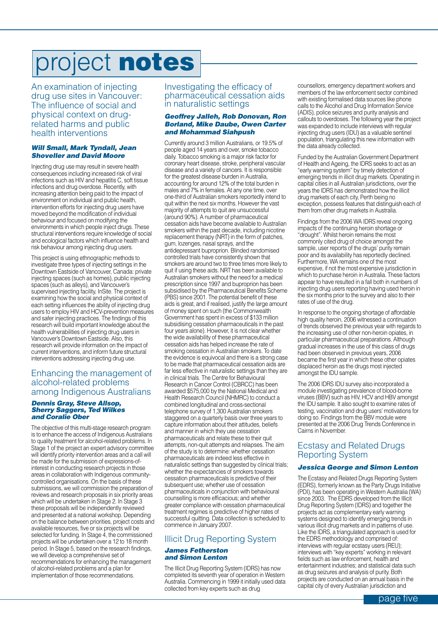# <span id="page-4-0"></span>project notes

An examination of injecting drug use sites in Vancouver: The influence of social and physical context on drugrelated harms and public health interventions

#### Will Small, Mark Tyndall, Jean Shoveller and David Moore

Injecting drug use may result in severe health consequences including increased risk of viral infections such as HIV and hepatitis C, soft tissue infections and drug overdose. Recently, with increasing attention being paid to the impact of environment on individual and public health, intervention efforts for injecting drug users have moved beyond the modification of individual behaviour and focused on modifying the environments in which people inject drugs. These structural interventions require knowledge of social and ecological factors which influence health and risk behaviour among injecting drug users.

This project is using ethnographic methods to investigate three types of injecting settings in the Downtown Eastside of Vancouver, Canada: private injecting spaces (such as homes), public injecting spaces (such as alleys), and Vancouver's supervised injecting facility, InSite. The project is examining how the social and physical context of each setting influences the ability of injecting drug users to employ HIV and HCV-prevention measures and safer injecting practices. The findings of this research will build important knowledge about the health vulnerabilities of injecting drug users in Vancouver's Downtown Eastside. Also, this research will provide information on the impact of current interventions, and inform future structural interventions addressing injecting drug use.

#### Enhancing the management of alcohol-related problems among Indigenous Australians

#### Dennis Gray, Steve Allsop, **Sherry Saggers, Ted Wilkes** and Coralie Ober

The objective of this multi-stage research program is to enhance the access of Indigenous Australians to quality treatment for alcohol-related problems. In Stage 1 of the project an expert advisory committee will identify priority intervention areas and a call will be made for the submission of expressions-ofinterest in conducting research projects in those areas in collaboration with Indigenous communitycontrolled organisations. On the basis of these submissions, we will commission the preparation of reviews and research proposals in six priority areas which will be undertaken in Stage 2. In Stage 3 these proposals will be independently reviewed and presented at a national workshop. Depending on the balance between priorities, project costs and available resources, five or six projects will be selected for funding. In Stage 4, the commissioned projects will be undertaken over a 12 to 18 month period. In Stage 5, based on the research findings, we will develop a comprehensive set of recommendations for enhancing the management of alcohol-related problems and a plan for implementation of those recommendations.

#### Investigating the efficacy of pharmaceutical cessation aids in naturalistic settings

#### Geoffrey Jalleh, Rob Donovan, Ron Borland, Mike Daube, Owen Carter and Mohammad Siahpush

Currently around 3 million Australians, or 19.5% of people aged 14 years and over, smoke tobacco daily. Tobacco smoking is a major risk factor for coronary heart disease, stroke, peripheral vascular disease and a variety of cancers. It is responsible for the greatest disease burden in Australia, accounting for around 12% of the total burden in males and 7% in females. At any one time, over one-third of Australian smokers reportedly intend to quit within the next six months. However the vast majority of attempts to quit are unsuccessful (around 90%). A number of pharmaceutical cessation aids have become available to Australian smokers within the past decade, including nicotine replacement therapy (NRT) in the form of patches, gum, lozenges, nasal sprays, and the antidepressant buproprion. Blinded randomised controlled trials have consistently shown that smokers are around two to three times more likely to quit if using these aids. NRT has been available to Australian smokers without the need for a medical prescription since 1997 and buproprion has been subsidised by the Pharmaceutical Benefits Scheme (PBS) since 2001. The potential benefit of these aids is great, and if realised, justify the large amount of money spent on such (the Commonwealth Government has spent in excess of \$133 million subsidising cessation pharmaceuticals in the past four years alone). However, it is not clear whether the wide availability of these pharmaceutical cessation aids has helped increase the rate of smoking cessation in Australian smokers. To date the evidence is equivocal and there is a strong case to be made that pharmaceutical cessation aids are far less effective in naturalistic settings than they are in clinical trials. The Centre for Behavioural Research in Cancer Control (CBRCC) has been awarded \$575,000 by the National Medical and Health Research Council (NHMRC) to conduct a combined longitudinal and cross-sectional telephone survey of 1,300 Australian smokers staggered on a quarterly basis over three years to capture information about their attitudes, beliefs and manner in which they use cessation pharmaceuticals and relate these to their quit attempts, non-quit attempts and relapses. The aim of the study is to determine: whether cessation pharmaceuticals are indeed less effective in naturalistic settings than suggested by clinical trials; whether the expectancies of smokers towards cessation pharmaceuticals is predictive of their subsequent use; whether use of cessation pharmaceuticals in conjunction with behavioural counselling is more efficacious; and whether greater compliance with cessation pharmaceutical treatment regimes is predictive of higher rates of successful quitting. Data collection is scheduled to commence in January 2007.

### Illicit Drug Reporting System

#### James Fetherston and Simon Lenton

The Illicit Drug Reporting System (IDRS) has now completed its seventh year of operation in Western Australia. Commencing in 1999 it initially used data collected from key experts such as drug

counsellors, emergency department workers and members of the law enforcement sector combined with existing formalised data sources like phone calls to the Alcohol and Drug Information Service (ADIS), police seizures and purity analysis and callouts to overdoses. The following year the project was expanded to include interviews with regular injecting drug users (IDU) as a valuable sentinel population, triangulating this new information with the data already collected.

Funded by the Australian Government Department of Health and Ageing, the IDRS seeks to act as an "early warning system" by timely detection of emerging trends in illicit drug markets. Operating in capital cities in all Australian jurisdictions, over the years the IDRS has demonstrated how the illicit drug markets of each city, Perth being no exception, possess features that distinguish each of them from other drug markets in Australia.

Findings from the 2006 WA IDRS reveal ongoing impacts of the continuing heroin shortage or "drought". Whilst heroin remains the most commonly cited drug of choice amongst the sample, user reports of the drugs' purity remain poor and its availability has reportedly declined. Furthermore, WA remains one of the most expensive, if not the most expensive jurisdiction in which to purchase heroin in Australia. These factors appear to have resulted in a fall both in numbers of injecting drug users reporting having used heroin in the six months prior to the survey and also to their rates of use of the drug.

In response to the ongoing shortage of affordable high quality heroin, 2006 witnessed a continuation of trends observed the previous year with regards to the increasing use of other non-heroin opiates, in particular pharmaceutical preparations. Although gradual increases in the use of this class of drugs had been observed in previous years, 2006 became the first year in which these other opiates displaced heroin as the drugs most injected amongst the IDU sample.

The 2006 IDRS IDU survey also incorporated a module investigating prevalence of blood-borne viruses (BBV) such as HIV, HCV and HBV amongst the IDU sample. It also sought to examine rates of testing, vaccination and drug users' motivations for doing so. Findings from the BBV module were presented at the 2006 Drug Trends Conference in Cairns in November.

### Ecstasy and Related Drugs Reporting System

#### Jessica George and Simon Lenton

The Ecstasy and Related Drugs Reporting System (EDRS), formerly known as the Party Drugs Initiative (PDI), has been operating in Western Australia (WA) since 2003. The EDRS developed from the Illicit Drug Reporting System (IDRS) and together the projects act as complementary early warning systems designed to identify emerging trends in various illicit drug markets and in patterns of use. Like the IDRS, a triangulated approach is used for the EDRS methodology and comprised of: interviews with regular ecstasy users (REU); interviews with "key experts" working in relevant fields such as law enforcement, health and entertainment industries; and statistical data such as drug seizures and analysis of purity. Both projects are conducted on an annual basis in the capital city of every Australian jurisdiction and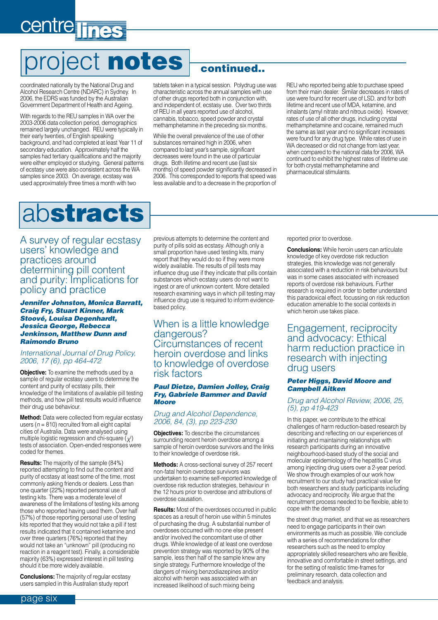# <span id="page-5-0"></span>centre lines

# project notes

coordinated nationally by the National Drug and Alcohol Research Centre (NDARC) in Sydney. In 2006, the EDRS was funded by the Australian Government Department of Health and Ageing.

With regards to the REU samples in WA over the 2003-2006 data collection period, demographics remained largely unchanged. REU were typically in their early twenties, of English speaking background, and had completed at least Year 11 of secondary education. Approximately half the samples had tertiary qualifications and the majority were either employed or studying. General patterns of ecstasy use were also consistent across the WA samples since 2003. On average, ecstasy was used approximately three times a month with two

### continued..

tablets taken in a typical session. Polydrug use was characteristic across the annual samples with use of other drugs reported both in conjunction with, and independent of, ecstasy use. Over two thirds of REU in all years reported use of alcohol, cannabis, tobacco, speed powder and crystal methamphetamine in the preceding six months.

While the overall prevalence of the use of other substances remained high in 2006, when compared to last year's sample, significant decreases were found in the use of particular drugs. Both lifetime and recent use (last six months) of speed powder significantly decreased in 2006. This corresponded to reports that speed was less available and to a decrease in the proportion of REU who reported being able to purchase speed from their main dealer. Similar decreases in rates of use were found for recent use of LSD, and for both lifetime and recent use of MDA, ketamine, and inhalants (amyl nitrate and nitrous oxide). However, rates of use of all other drugs, including crystal methamphetamine and cocaine, remained much the same as last year and no significant increases were found for any drug type. While rates of use in WA decreased or did not change from last year, when compared to the national data for 2006, WA continued to exhibit the highest rates of lifetime use for both crystal methamphetamine and pharmaceutical stimulants.

## abstracts

A survey of regular ecstasy users' knowledge and practices around determining pill content and purity: Implications for policy and practice

Jennifer Johnston, Monica Barratt, Craig Fry, Stuart Kinner, Mark Stoové, Louisa Degenhardt, Jessica George, Rebecca Jenkinson, Matthew Dunn and Raimondo Bruno

#### International Journal of Drug Policy, 2006, 17 (6), pp 464-472

**Objective:** To examine the methods used by a sample of regular ecstasy users to determine the content and purity of ecstasy pills, their knowledge of the limitations of available pill testing methods, and how pill test results would influence their drug use behaviour.

**Method:** Data were collected from regular ecstasy users ( $n = 810$ ) recruited from all eight capital cities of Australia. Data were analysed using multiple logistic regression and chi-square ( $\chi^{\!\!2})$ tests of association. Open-ended responses were coded for themes.

**Results:** The majority of the sample (84%) reported attempting to find out the content and purity of ecstasy at least some of the time, most commonly asking friends or dealers. Less than one quarter (22%) reported personal use of testing kits. There was a moderate level of awareness of the limitations of testing kits among those who reported having used them. Over half (57%) of those reporting personal use of testing kits reported that they would not take a pill if test results indicated that it contained ketamine and over three quarters (76%) reported that they would not take an "unknown" pill (producing no reaction in a reagent test). Finally, a considerable majority (63%) expressed interest in pill testing should it be more widely available.

**Conclusions:** The majority of regular ecstasy users sampled in this Australian study report

previous attempts to determine the content and purity of pills sold as ecstasy. Although only a small proportion have used testing kits, many report that they would do so if they were more widely available. The results of pill tests may influence drug use if they indicate that pills contain substances which ecstasy users do not want to ingest or are of unknown content. More detailed research examining ways in which pill testing may influence drug use is required to inform evidencebased policy.

### When is a little knowledge dangerous? Circumstances of recent heroin overdose and links to knowledge of overdose risk factors

#### Paul Dietze, Damien Jolley, Craig Fry, Gabriele Bammer and David Moore

#### Drug and Alcohol Dependence, 2006, 84, (3), pp 223-230

**Objectives:** To describe the circumstances surrounding recent heroin overdose among a sample of heroin overdose survivors and the links to their knowledge of overdose risk.

**Methods:** A cross-sectional survey of 257 recent non-fatal heroin overdose survivors was undertaken to examine self-reported knowledge of overdose risk reduction strategies, behaviour in the 12 hours prior to overdose and attributions of overdose causation.

**Results:** Most of the overdoses occurred in public spaces as a result of heroin use within 5 minutes of purchasing the drug. A substantial number of overdoses occurred with no one else present and/or involved the concomitant use of other drugs. While knowledge of at least one overdose prevention strategy was reported by 90% of the sample, less then half of the sample knew any single strategy. Furthermore knowledge of the dangers of mixing benzodiazepines and/or alcohol with heroin was associated with an increased likelihood of such mixing being

reported prior to overdose.

**Conclusions:** While heroin users can articulate knowledge of key overdose risk reduction strategies, this knowledge was not generally associated with a reduction in risk behaviours but was in some cases associated with increased reports of overdose risk behaviours. Further research is required in order to better understand this paradoxical effect, focussing on risk reduction education amenable to the social contexts in which heroin use takes place.

### Engagement, reciprocity and advocacy: Ethical harm reduction practice in research with injecting drug users

#### Peter Higgs, David Moore and Campbell Aitken

#### Drug and Alcohol Review, 2006, 25, (5), pp 419-423

In this paper, we contribute to the ethical challenges of harm reduction-based research by describing and reflecting on our experiences of initiating and maintaining relationships with research participants during an innovative neighbourhood-based study of the social and molecular epidemiology of the hepatitis C virus among injecting drug users over a 2-year period. We show through examples of our work how recruitment to our study had practical value for both researchers and study participants including advocacy and reciprocity. We argue that the recruitment process needed to be flexible, able to cope with the demands of

the street drug market, and that we as researchers need to engage participants in their own environments as much as possible. We conclude with a series of recommendations for other researchers such as the need to employ appropriately skilled researchers who are flexible, innovative and comfortable in street settings, and for the setting of realistic time-frames for preliminary research, data collection and feedback and analysis.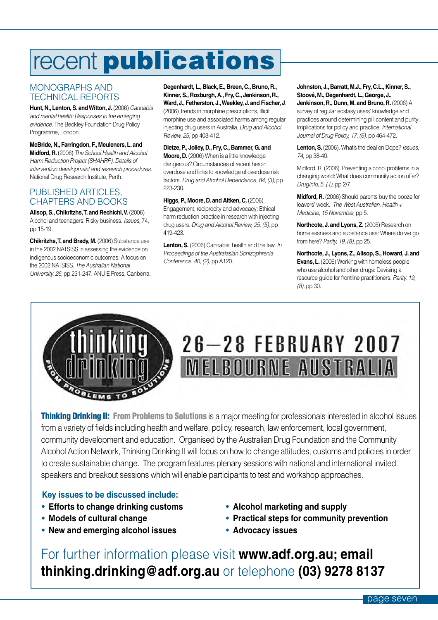# <span id="page-6-0"></span>recent **publications**

### MONOGRAPHS AND TECHNICAL REPORTS

**Hunt, N., Lenton,S. andWitton, J.** (2006) Cannabis and mental health: Responses to the emerging evidence. The Beckley Foundation Drug Policy Programme, London.

**McBride, N., Farringdon, F., Meuleners, L. and Midford, R.**(2006) The School Health and Alcohol Harm Reduction Project (SHAHRP). Details of intervention development and research procedures. National Drug Research Institute, Perth.

### PUBLISHED ARTICLES. CHAPTERS AND BOOKS

**Allsop,S., Chikritzhs,T. and Rechichi,V.** (2006) Alcohol and teenagers: Risky business. Issues, 74, pp 15-19.

**Chikritzhs,T. and Brady, M.**(2006) Substance use in the 2002 NATSISS in assessing the evidence on indigenous socioeconomic outcomes: A focus on the 2002 NATSISS. The Australian National University, 26, pp 231-247. ANU E Press, Canberra. **Degenhardt, L., Black,E., Breen, C., Bruno, R., Kinner,S., Roxburgh, A., Fry, C., Jenkinson, R., Ward, J., Fetherston, J.,Weekley, J. and Fischer, J**. (2006) Trends in morphine prescriptions, illicit morphine use and associated harms among regular injecting drug users in Australia. Drug and Alcohol Review, 25, pp 403-412.

**Dietze,P., Jolley, D., Fry, C., Bammer,G. and Moore, D.** (2006) When is a little knowledge dangerous? Circumstances of recent heroin overdose and links to knowledge of overdose risk factors. Drug and Alcohol Dependence, 84, (3), pp 223-230.

#### **Higgs,P., Moore, D. and Aitken, C.**(2006)

Engagement, reciprocity and advocacy: Ethical harm reduction practice in research with injecting drug users. Drug and Alcohol Review, 25, (5), pp 419-423.

Lenton, S. (2006) Cannabis, health and the law. In Proceedings of the Australasian Schizophrenia Conference, 40, (2), pp A120.

**Johnston, J., Barratt, M.J., Fry, C.L., Kinner,S., Stoové, M., Degenhardt, L.,George, J.,**

**Jenkinson, R., Dunn, M. and Bruno, R.**(2006) A survey of regular ecstasy users' knowledge and practices around determining pill content and purity: Implications for policy and practice. International Journal of Drug Policy, 17, (6), pp 464-472.

Lenton, S. (2006). What's the deal on Dope? Issues, 74, pp 38-40.

Midford, R. (2006). Preventing alcohol problems in a changing world: What does community action offer? DrugInfo, 5, (1), pp 2/7.

**Midford, R.** (2006) Should parents buy the booze for leavers' week. The West Australian, Health + Medicine, 15 November, pp 5.

**Northcote, J. and Lyons, Z.** (2006) Research on homelessness and substance use: Where do we go from here? Parity, 19, (8), pp 25.

**Northcote, J., Lyons, Z., Allsop,S., Howard, J. and Evans, L.**(2006) Working with homeless people who use alcohol and other drugs: Devising a resource guide for frontline practitioners. Parity, 19, (8), pp 30.



# $26 - 28$  February 2007 **MELBOURNE AUSTRALIA**

**Thinking Drinking II: From Problems to Solutions** is a major meeting for professionals interested in alcohol issues from a variety of fields including health and welfare, policy, research, law enforcement, local government, community development and education. Organised by the Australian Drug Foundation and the Community Alcohol Action Network, Thinking Drinking II will focus on how to change attitudes, customs and policies in order to create sustainable change. The program features plenary sessions with national and international invited speakers and breakout sessions which will enable participants to test and workshop approaches.

### **Key issues to be discussed include:**

- **• Efforts to change drinking customs**
- **• Models of cultural change**
- **• New and emerging alcohol issues**
- **• Alcohol marketing and supply**
- **• Practical steps for community prevention**
- **• Advocacy issues**

For further information please visit **[www.adf.org.au;](http://www.adf.org.au) email [thinking.drinking@adf.org.au](mailto:thinking.drinking@adf.org.au)** or telephone **(03) 9278 8137**